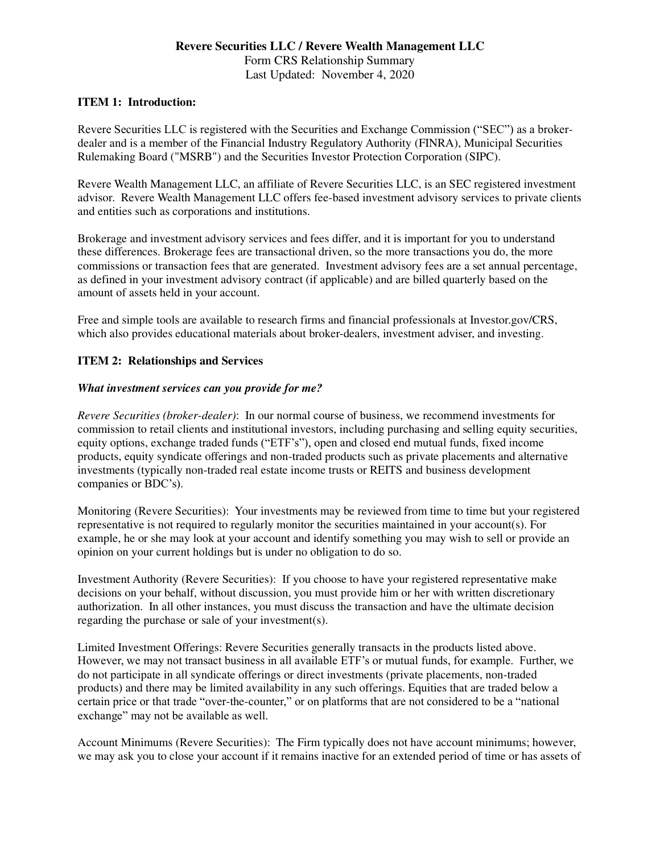# **Revere Securities LLC / Revere Wealth Management LLC** Form CRS Relationship Summary Last Updated: November 4, 2020

# **ITEM 1: Introduction:**

Revere Securities LLC is registered with the Securities and Exchange Commission ("SEC") as a brokerdealer and is a member of the Financial Industry Regulatory Authority (FINRA), Municipal Securities Rulemaking Board ("MSRB") and the Securities Investor Protection Corporation (SIPC).

Revere Wealth Management LLC, an affiliate of Revere Securities LLC, is an SEC registered investment advisor. Revere Wealth Management LLC offers fee-based investment advisory services to private clients and entities such as corporations and institutions.

Brokerage and investment advisory services and fees differ, and it is important for you to understand these differences. Brokerage fees are transactional driven, so the more transactions you do, the more commissions or transaction fees that are generated. Investment advisory fees are a set annual percentage, as defined in your investment advisory contract (if applicable) and are billed quarterly based on the amount of assets held in your account.

Free and simple tools are available to research firms and financial professionals at Investor.gov/CRS, which also provides educational materials about broker-dealers, investment adviser, and investing.

## **ITEM 2: Relationships and Services**

## *What investment services can you provide for me?*

*Revere Securities (broker-dealer)*: In our normal course of business, we recommend investments for commission to retail clients and institutional investors, including purchasing and selling equity securities, equity options, exchange traded funds ("ETF's"), open and closed end mutual funds, fixed income products, equity syndicate offerings and non-traded products such as private placements and alternative investments (typically non-traded real estate income trusts or REITS and business development companies or BDC's).

Monitoring (Revere Securities): Your investments may be reviewed from time to time but your registered representative is not required to regularly monitor the securities maintained in your account(s). For example, he or she may look at your account and identify something you may wish to sell or provide an opinion on your current holdings but is under no obligation to do so.

Investment Authority (Revere Securities): If you choose to have your registered representative make decisions on your behalf, without discussion, you must provide him or her with written discretionary authorization. In all other instances, you must discuss the transaction and have the ultimate decision regarding the purchase or sale of your investment(s).

Limited Investment Offerings: Revere Securities generally transacts in the products listed above. However, we may not transact business in all available ETF's or mutual funds, for example. Further, we do not participate in all syndicate offerings or direct investments (private placements, non-traded products) and there may be limited availability in any such offerings. Equities that are traded below a certain price or that trade "over-the-counter," or on platforms that are not considered to be a "national exchange" may not be available as well.

Account Minimums (Revere Securities): The Firm typically does not have account minimums; however, we may ask you to close your account if it remains inactive for an extended period of time or has assets of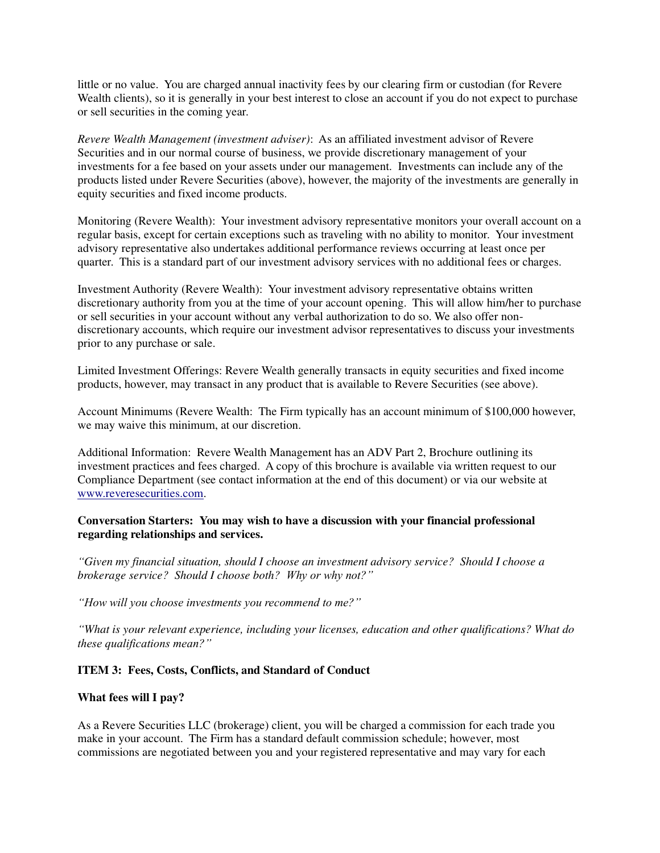little or no value. You are charged annual inactivity fees by our clearing firm or custodian (for Revere Wealth clients), so it is generally in your best interest to close an account if you do not expect to purchase or sell securities in the coming year.

*Revere Wealth Management (investment adviser)*: As an affiliated investment advisor of Revere Securities and in our normal course of business, we provide discretionary management of your investments for a fee based on your assets under our management. Investments can include any of the products listed under Revere Securities (above), however, the majority of the investments are generally in equity securities and fixed income products.

Monitoring (Revere Wealth): Your investment advisory representative monitors your overall account on a regular basis, except for certain exceptions such as traveling with no ability to monitor. Your investment advisory representative also undertakes additional performance reviews occurring at least once per quarter. This is a standard part of our investment advisory services with no additional fees or charges.

Investment Authority (Revere Wealth): Your investment advisory representative obtains written discretionary authority from you at the time of your account opening. This will allow him/her to purchase or sell securities in your account without any verbal authorization to do so. We also offer nondiscretionary accounts, which require our investment advisor representatives to discuss your investments prior to any purchase or sale.

Limited Investment Offerings: Revere Wealth generally transacts in equity securities and fixed income products, however, may transact in any product that is available to Revere Securities (see above).

Account Minimums (Revere Wealth: The Firm typically has an account minimum of \$100,000 however, we may waive this minimum, at our discretion.

Additional Information: Revere Wealth Management has an ADV Part 2, Brochure outlining its investment practices and fees charged. A copy of this brochure is available via written request to our Compliance Department (see contact information at the end of this document) or via our website at [www.reveresecurities.com.](http://www.reveresecurities.com/)

## **Conversation Starters: You may wish to have a discussion with your financial professional regarding relationships and services.**

*"Given my financial situation, should I choose an investment advisory service? Should I choose a brokerage service? Should I choose both? Why or why not?"*

*"How will you choose investments you recommend to me?"*

*"What is your relevant experience, including your licenses, education and other qualifications? What do these qualifications mean?"*

## **ITEM 3: Fees, Costs, Conflicts, and Standard of Conduct**

#### **What fees will I pay?**

As a Revere Securities LLC (brokerage) client, you will be charged a commission for each trade you make in your account. The Firm has a standard default commission schedule; however, most commissions are negotiated between you and your registered representative and may vary for each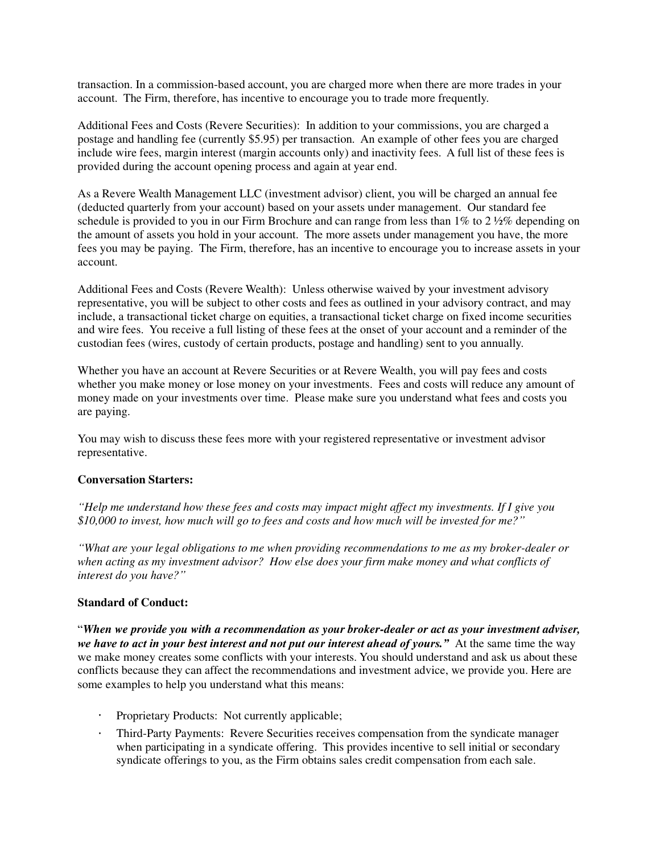transaction. In a commission-based account, you are charged more when there are more trades in your account. The Firm, therefore, has incentive to encourage you to trade more frequently.

Additional Fees and Costs (Revere Securities): In addition to your commissions, you are charged a postage and handling fee (currently \$5.95) per transaction. An example of other fees you are charged include wire fees, margin interest (margin accounts only) and inactivity fees. A full list of these fees is provided during the account opening process and again at year end.

As a Revere Wealth Management LLC (investment advisor) client, you will be charged an annual fee (deducted quarterly from your account) based on your assets under management. Our standard fee schedule is provided to you in our Firm Brochure and can range from less than 1% to 2 ½% depending on the amount of assets you hold in your account. The more assets under management you have, the more fees you may be paying. The Firm, therefore, has an incentive to encourage you to increase assets in your account.

Additional Fees and Costs (Revere Wealth): Unless otherwise waived by your investment advisory representative, you will be subject to other costs and fees as outlined in your advisory contract, and may include, a transactional ticket charge on equities, a transactional ticket charge on fixed income securities and wire fees. You receive a full listing of these fees at the onset of your account and a reminder of the custodian fees (wires, custody of certain products, postage and handling) sent to you annually.

Whether you have an account at Revere Securities or at Revere Wealth, you will pay fees and costs whether you make money or lose money on your investments. Fees and costs will reduce any amount of money made on your investments over time. Please make sure you understand what fees and costs you are paying.

You may wish to discuss these fees more with your registered representative or investment advisor representative.

## **Conversation Starters:**

*"Help me understand how these fees and costs may impact might affect my investments. If I give you \$10,000 to invest, how much will go to fees and costs and how much will be invested for me?"*

*"What are your legal obligations to me when providing recommendations to me as my broker-dealer or when acting as my investment advisor? How else does your firm make money and what conflicts of interest do you have?"*

#### **Standard of Conduct:**

"*When we provide you with a recommendation as your broker-dealer or act as your investment adviser,* we have to act in your best interest and not put our interest ahead of yours." At the same time the way we make money creates some conflicts with your interests. You should understand and ask us about these conflicts because they can affect the recommendations and investment advice, we provide you. Here are some examples to help you understand what this means:

- Proprietary Products: Not currently applicable;
- Third-Party Payments: Revere Securities receives compensation from the syndicate manager when participating in a syndicate offering. This provides incentive to sell initial or secondary syndicate offerings to you, as the Firm obtains sales credit compensation from each sale.